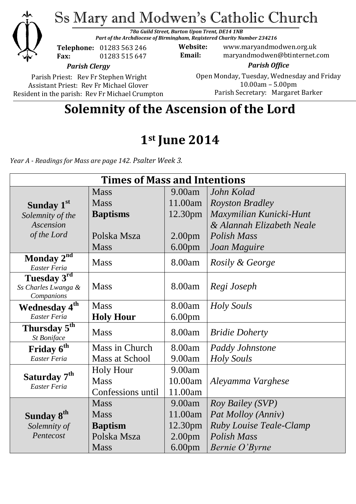

Ss Mary and Modwen's Catholic Church

*78a Guild Street, Burton Upon Trent, DE14 1NB Part of the Archdiocese of Birmingham, Registered Charity Number 234216*

**Telephone:** 01283 563 246 **Fax:** 01283 515 647

**Website:** www.maryandmodwen.org.uk **Email:** maryandmodwen@btinternet.com

*Parish Clergy*

Parish Priest: Rev Fr Stephen Wright Assistant Priest: Rev Fr Michael Glover Resident in the parish: Rev Fr Michael Crumpton

*Parish Office* Open Monday, Tuesday, Wednesday and Friday 10.00am – 5.00pm Parish Secretary:Margaret Barker

# **Solemnity of the Ascension of the Lord**

# **1st June 2014**

*Year A - Readings for Mass are page 142. Psalter Week 3.*

| <b>Times of Mass and Intentions</b>      |                       |                    |                                |
|------------------------------------------|-----------------------|--------------------|--------------------------------|
|                                          | <b>Mass</b>           | 9.00am             | John Kolad                     |
| Sunday 1st                               | <b>Mass</b>           | 11.00am            | <b>Royston Bradley</b>         |
| Solemnity of the                         | <b>Baptisms</b>       | 12.30pm            | Maxymilian Kunicki-Hunt        |
| Ascension                                |                       |                    | & Alannah Elizabeth Neale      |
| of the Lord                              | Polska Msza           | 2.00 <sub>pm</sub> | Polish Mass                    |
|                                          | <b>Mass</b>           | 6.00 <sub>pm</sub> | Joan Maguire                   |
| Monday $2^{nd}$<br>Easter Feria          | <b>Mass</b>           | 8.00am             | Rosily & George                |
| Tuesday 3rd                              |                       |                    |                                |
| Ss Charles Lwanga &                      | <b>Mass</b>           | 8.00am             | Regi Joseph                    |
| Companions<br><b>Wednesday 4th</b>       | <b>Mass</b>           | 8.00am             | Holy Souls                     |
| Easter Feria                             | <b>Holy Hour</b>      | 6.00 <sub>pm</sub> |                                |
| Thursday 5 <sup>th</sup>                 |                       |                    |                                |
| St Boniface                              | <b>Mass</b>           | 8.00am             | <b>Bridie Doherty</b>          |
| Friday 6 <sup>th</sup>                   | Mass in Church        | 8.00am             | <b>Paddy Johnstone</b>         |
| Easter Feria                             | <b>Mass at School</b> | 9.00am             | <b>Holy Souls</b>              |
| Saturday 7 <sup>th</sup><br>Easter Feria | <b>Holy Hour</b>      | 9.00am             |                                |
|                                          | <b>Mass</b>           | 10.00am            | Aleyamma Varghese              |
|                                          | Confessions until     | 11.00am            |                                |
|                                          | <b>Mass</b>           | 9.00am             | Roy Bailey (SVP)               |
| Sunday 8 <sup>th</sup>                   | <b>Mass</b>           | 11.00am            | Pat Molloy (Anniv)             |
| Solemnity of                             | <b>Baptism</b>        | 12.30pm            | <b>Ruby Louise Teale-Clamp</b> |
| Pentecost                                | Polska Msza           | 2.00 <sub>pm</sub> | <b>Polish Mass</b>             |
|                                          | <b>Mass</b>           | 6.00 <sub>pm</sub> | Bernie O'Byrne                 |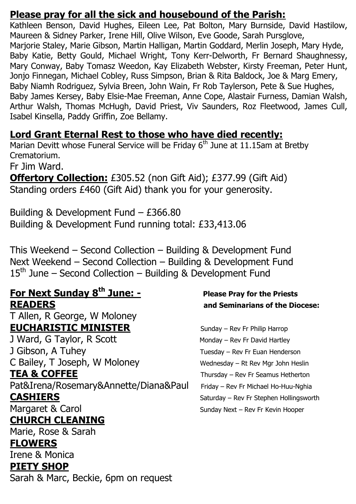#### **Please pray for all the sick and housebound of the Parish:**

Kathleen Benson, David Hughes, Eileen Lee, Pat Bolton, Mary Burnside, David Hastilow, Maureen & Sidney Parker, Irene Hill, Olive Wilson, Eve Goode, Sarah Pursglove, Marjorie Staley, Marie Gibson, Martin Halligan, Martin Goddard, Merlin Joseph, Mary Hyde, Baby Katie, Betty Gould, Michael Wright, Tony Kerr-Delworth, Fr Bernard Shaughnessy, Mary Conway, Baby Tomasz Weedon, Kay Elizabeth Webster, Kirsty Freeman, Peter Hunt, Jonjo Finnegan, Michael Cobley, Russ Simpson, Brian & Rita Baldock, Joe & Marg Emery, Baby Niamh Rodriguez, Sylvia Breen, John Wain, Fr Rob Taylerson, Pete & Sue Hughes, Baby James Kersey, Baby Elsie-Mae Freeman, Anne Cope, Alastair Furness, Damian Walsh, Arthur Walsh, Thomas McHugh, David Priest, Viv Saunders, Roz Fleetwood, James Cull, Isabel Kinsella, Paddy Griffin, Zoe Bellamy.

### **Lord Grant Eternal Rest to those who have died recently:**

Marian Devitt whose Funeral Service will be Friday 6<sup>th</sup> June at 11.15am at Bretby Crematorium.

Fr Jim Ward.

**Offertory Collection:** £305.52 (non Gift Aid); £377.99 (Gift Aid) Standing orders £460 (Gift Aid) thank you for your generosity.

Building & Development Fund – £366.80 Building & Development Fund running total: £33,413.06

This Weekend – Second Collection – Building & Development Fund Next Weekend – Second Collection – Building & Development Fund  $15<sup>th</sup>$  June – Second Collection – Building & Development Fund

#### **For Next Sunday 8th June: - Please Pray for the Priests READERS and Seminarians of the Diocese:**

T Allen, R George, W Moloney **EUCHARISTIC MINISTER** Sunday – Rev Fr Philip Harrop J Ward, G Taylor, R Scott Monday – Rev Fr David Hartley J Gibson, A Tuhey Tuesday – Rev Fr Euan Henderson C Bailey, T Joseph, W Moloney Wednesday – Rt Rev Mgr John Heslin **TEA & COFFEE** Thursday – Rev Fr Seamus Hetherton Pat&Irena/Rosemary&Annette/Diana&Paul Friday - Rev Fr Michael Ho-Huu-Nghia **CASHIERS** Saturday – Rev Fr Stephen Hollingsworth Margaret & Carol Sunday Next – Rev Fr Kevin Hooper

## **CHURCH CLEANING**

Marie, Rose & Sarah **FLOWERS**  Irene & Monica **PIETY SHOP** Sarah & Marc, Beckie, 6pm on request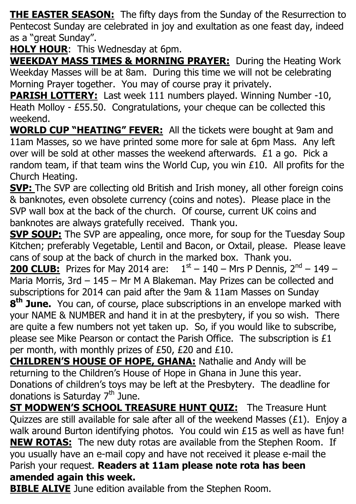**THE EASTER SEASON:** The fifty days from the Sunday of the Resurrection to Pentecost Sunday are celebrated in joy and exultation as one feast day, indeed as a "great Sunday".

**HOLY HOUR:** This Wednesday at 6pm.

**WEEKDAY MASS TIMES & MORNING PRAYER:** During the Heating Work Weekday Masses will be at 8am. During this time we will not be celebrating Morning Prayer together. You may of course pray it privately.

**PARISH LOTTERY:** Last week 111 numbers played. Winning Number -10, Heath Molloy - £55.50. Congratulations, your cheque can be collected this weekend.

**WORLD CUP "HEATING" FEVER:** All the tickets were bought at 9am and 11am Masses, so we have printed some more for sale at 6pm Mass. Any left over will be sold at other masses the weekend afterwards. £1 a go. Pick a random team, if that team wins the World Cup, you win £10. All profits for the Church Heating.

**SVP:** The SVP are collecting old British and Irish money, all other foreign coins & banknotes, even obsolete currency (coins and notes). Please place in the SVP wall box at the back of the church. Of course, current UK coins and banknotes are always gratefully received. Thank you.

**SVP SOUP:** The SVP are appealing, once more, for soup for the Tuesday Soup Kitchen; preferably Vegetable, Lentil and Bacon, or Oxtail, please. Please leave cans of soup at the back of church in the marked box. Thank you.

**200 CLUB:** Prizes for May 2014 are:  $1<sup>st</sup> - 140 - Mrs$  P Dennis,  $2<sup>nd</sup> - 149 -$ Maria Morris, 3rd – 145 – Mr M A Blakeman. May Prizes can be collected and subscriptions for 2014 can paid after the 9am & 11am Masses on Sunday **8 th June.** You can, of course, place subscriptions in an envelope marked with your NAME & NUMBER and hand it in at the presbytery, if you so wish. There are quite a few numbers not yet taken up. So, if you would like to subscribe, please see Mike Pearson or contact the Parish Office. The subscription is £1 per month, with monthly prizes of £50, £20 and £10.

**CHILDREN'S HOUSE OF HOPE, GHANA:** Nathalie and Andy will be returning to the Children's House of Hope in Ghana in June this year. Donations of children's toys may be left at the Presbytery. The deadline for donations is Saturday  $7<sup>th</sup>$  June.

**ST MODWEN'S SCHOOL TREASURE HUNT QUIZ:** The Treasure Hunt Quizzes are still available for sale after all of the weekend Masses (£1). Enjoy a walk around Burton identifying photos. You could win £15 as well as have fun! **NEW ROTAS:** The new duty rotas are available from the Stephen Room. If you usually have an e-mail copy and have not received it please e-mail the Parish your request. **Readers at 11am please note rota has been amended again this week.**

**BIBLE ALIVE** June edition available from the Stephen Room.